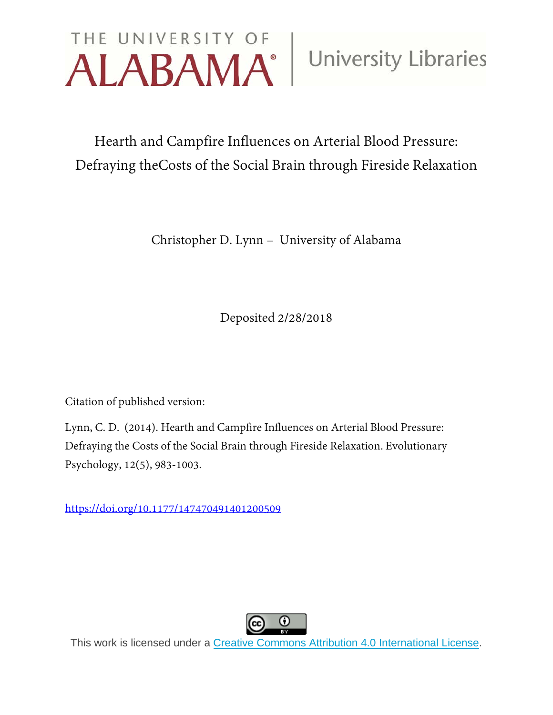# THE UNIVERSITY OF University Libraries

Hearth and Campfire Influences on Arterial Blood Pressure: Defraying theCosts of the Social Brain through Fireside Relaxation

Christopher D. Lynn – University of Alabama

Deposited 2/28/2018

Citation of published version:

Lynn, C. D. (2014). Hearth and Campfire Influences on Arterial Blood Pressure: Defraying the Costs of the Social Brain through Fireside Relaxation. Evolutionary Psychology, 12(5), 983-1003.

<https://doi.org/10.1177/147470491401200509>



This work is licensed under a [Creative Commons Attribution 4.0 International License.](https://creativecommons.org/licenses/by/4.0/)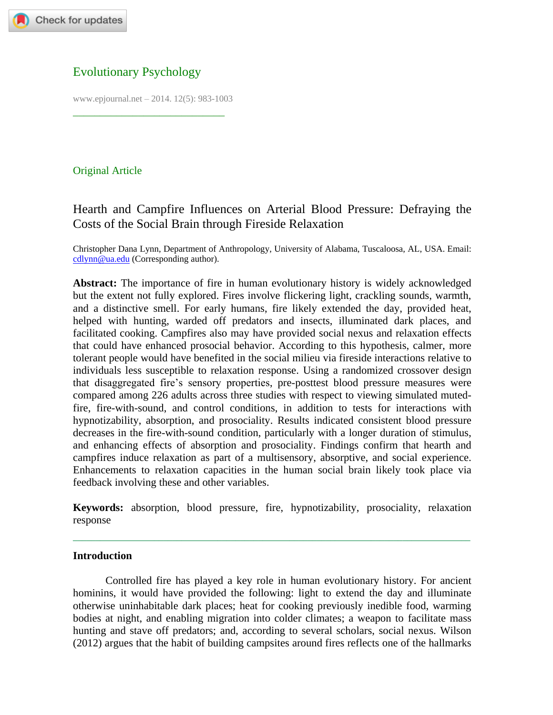# Evolutionary Psychology

www.epjournal.net – 2014. 12(5): 983-1003

¯¯¯¯¯¯¯¯¯¯¯¯¯¯¯¯¯¯¯¯¯¯¯¯¯¯¯¯

Original Article

# Hearth and Campfire Influences on Arterial Blood Pressure: Defraying the Costs of the Social Brain through Fireside Relaxation

Christopher Dana Lynn, Department of Anthropology, University of Alabama, Tuscaloosa, AL, USA. Email: [cdlynn@ua.edu](mailto:cdlynn@ua.edu) (Corresponding author).

**Abstract:** The importance of fire in human evolutionary history is widely acknowledged but the extent not fully explored. Fires involve flickering light, crackling sounds, warmth, and a distinctive smell. For early humans, fire likely extended the day, provided heat, helped with hunting, warded off predators and insects, illuminated dark places, and facilitated cooking. Campfires also may have provided social nexus and relaxation effects that could have enhanced prosocial behavior. According to this hypothesis, calmer, more tolerant people would have benefited in the social milieu via fireside interactions relative to individuals less susceptible to relaxation response. Using a randomized crossover design that disaggregated fire's sensory properties, pre-posttest blood pressure measures were compared among 226 adults across three studies with respect to viewing simulated mutedfire, fire-with-sound, and control conditions, in addition to tests for interactions with hypnotizability, absorption, and prosociality. Results indicated consistent blood pressure decreases in the fire-with-sound condition, particularly with a longer duration of stimulus, and enhancing effects of absorption and prosociality. Findings confirm that hearth and campfires induce relaxation as part of a multisensory, absorptive, and social experience. Enhancements to relaxation capacities in the human social brain likely took place via feedback involving these and other variables.

**Keywords:** absorption, blood pressure, fire, hypnotizability, prosociality, relaxation response

**¯¯¯¯¯¯¯¯¯¯¯¯¯¯¯¯¯¯¯¯¯¯¯¯¯¯¯¯¯¯¯¯¯¯¯¯¯¯¯¯¯¯¯¯¯¯¯¯¯¯¯¯¯¯¯¯¯¯¯¯¯¯¯¯¯¯¯¯¯¯¯¯¯¯¯¯¯¯¯¯¯¯¯¯¯¯¯¯**

# **Introduction**

Controlled fire has played a key role in human evolutionary history. For ancient hominins, it would have provided the following: light to extend the day and illuminate otherwise uninhabitable dark places; heat for cooking previously inedible food, warming bodies at night, and enabling migration into colder climates; a weapon to facilitate mass hunting and stave off predators; and, according to several scholars, social nexus. Wilson (2012) argues that the habit of building campsites around fires reflects one of the hallmarks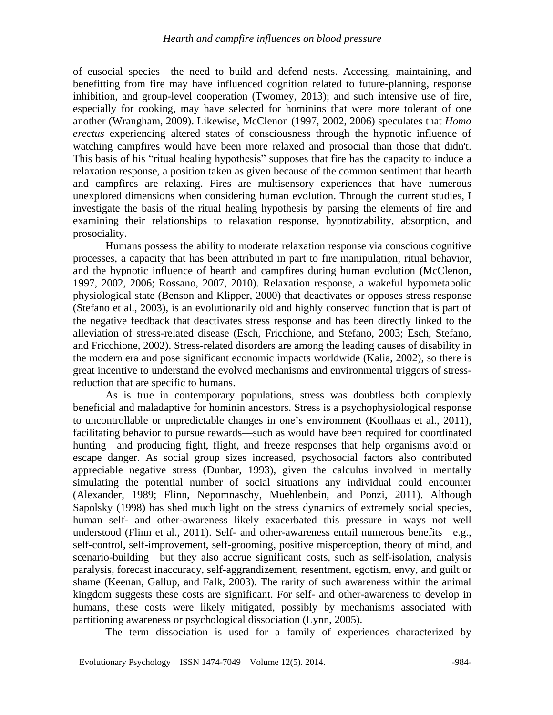of eusocial species—the need to build and defend nests. Accessing, maintaining, and benefitting from fire may have influenced cognition related to future-planning, response inhibition, and group-level cooperation (Twomey, 2013); and such intensive use of fire, especially for cooking, may have selected for hominins that were more tolerant of one another (Wrangham, 2009). Likewise, McClenon (1997, 2002, 2006) speculates that *Homo erectus* experiencing altered states of consciousness through the hypnotic influence of watching campfires would have been more relaxed and prosocial than those that didn't. This basis of his "ritual healing hypothesis" supposes that fire has the capacity to induce a relaxation response, a position taken as given because of the common sentiment that hearth and campfires are relaxing. Fires are multisensory experiences that have numerous unexplored dimensions when considering human evolution. Through the current studies, I investigate the basis of the ritual healing hypothesis by parsing the elements of fire and examining their relationships to relaxation response, hypnotizability, absorption, and prosociality.

Humans possess the ability to moderate relaxation response via conscious cognitive processes, a capacity that has been attributed in part to fire manipulation, ritual behavior, and the hypnotic influence of hearth and campfires during human evolution (McClenon, 1997, 2002, 2006; Rossano, 2007, 2010). Relaxation response, a wakeful hypometabolic physiological state (Benson and Klipper, 2000) that deactivates or opposes stress response (Stefano et al., 2003), is an evolutionarily old and highly conserved function that is part of the negative feedback that deactivates stress response and has been directly linked to the alleviation of stress-related disease (Esch, Fricchione, and Stefano, 2003; Esch, Stefano, and Fricchione, 2002). Stress-related disorders are among the leading causes of disability in the modern era and pose significant economic impacts worldwide (Kalia, 2002), so there is great incentive to understand the evolved mechanisms and environmental triggers of stressreduction that are specific to humans.

As is true in contemporary populations, stress was doubtless both complexly beneficial and maladaptive for hominin ancestors. Stress is a psychophysiological response to uncontrollable or unpredictable changes in one's environment (Koolhaas et al., 2011), facilitating behavior to pursue rewards—such as would have been required for coordinated hunting—and producing fight, flight, and freeze responses that help organisms avoid or escape danger. As social group sizes increased, psychosocial factors also contributed appreciable negative stress (Dunbar, 1993), given the calculus involved in mentally simulating the potential number of social situations any individual could encounter (Alexander, 1989; Flinn, Nepomnaschy, Muehlenbein, and Ponzi, 2011). Although Sapolsky (1998) has shed much light on the stress dynamics of extremely social species, human self- and other-awareness likely exacerbated this pressure in ways not well understood (Flinn et al., 2011). Self- and other-awareness entail numerous benefits—e.g., self-control, self-improvement, self-grooming, positive misperception, theory of mind, and scenario-building—but they also accrue significant costs, such as self-isolation, analysis paralysis, forecast inaccuracy, self-aggrandizement, resentment, egotism, envy, and guilt or shame (Keenan, Gallup, and Falk, 2003). The rarity of such awareness within the animal kingdom suggests these costs are significant. For self- and other-awareness to develop in humans, these costs were likely mitigated, possibly by mechanisms associated with partitioning awareness or psychological dissociation (Lynn, 2005).

The term dissociation is used for a family of experiences characterized by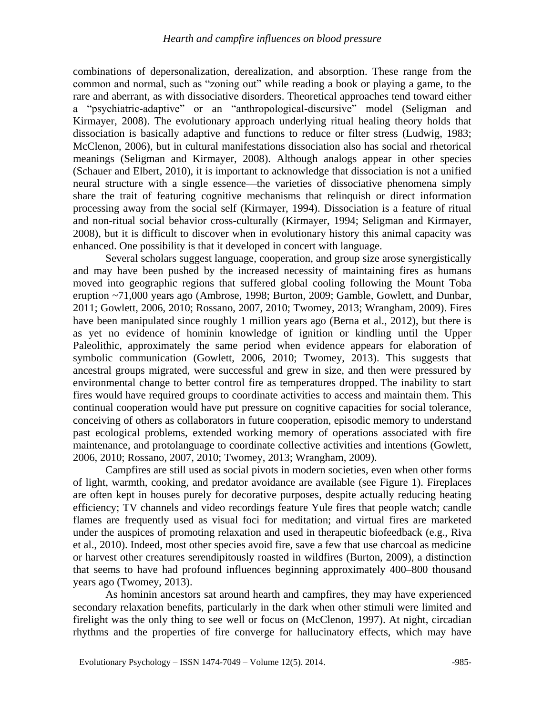combinations of depersonalization, derealization, and absorption. These range from the common and normal, such as "zoning out" while reading a book or playing a game, to the rare and aberrant, as with dissociative disorders. Theoretical approaches tend toward either a "psychiatric-adaptive" or an "anthropological-discursive" model (Seligman and Kirmayer, 2008). The evolutionary approach underlying ritual healing theory holds that dissociation is basically adaptive and functions to reduce or filter stress (Ludwig, 1983; McClenon, 2006), but in cultural manifestations dissociation also has social and rhetorical meanings (Seligman and Kirmayer, 2008). Although analogs appear in other species (Schauer and Elbert, 2010), it is important to acknowledge that dissociation is not a unified neural structure with a single essence—the varieties of dissociative phenomena simply share the trait of featuring cognitive mechanisms that relinquish or direct information processing away from the social self (Kirmayer, 1994). Dissociation is a feature of ritual and non-ritual social behavior cross-culturally (Kirmayer, 1994; Seligman and Kirmayer, 2008), but it is difficult to discover when in evolutionary history this animal capacity was enhanced. One possibility is that it developed in concert with language.

Several scholars suggest language, cooperation, and group size arose synergistically and may have been pushed by the increased necessity of maintaining fires as humans moved into geographic regions that suffered global cooling following the Mount Toba eruption ~71,000 years ago (Ambrose, 1998; Burton, 2009; Gamble, Gowlett, and Dunbar, 2011; Gowlett, 2006, 2010; Rossano, 2007, 2010; Twomey, 2013; Wrangham, 2009). Fires have been manipulated since roughly 1 million years ago (Berna et al., 2012), but there is as yet no evidence of hominin knowledge of ignition or kindling until the Upper Paleolithic, approximately the same period when evidence appears for elaboration of symbolic communication (Gowlett, 2006, 2010; Twomey, 2013). This suggests that ancestral groups migrated, were successful and grew in size, and then were pressured by environmental change to better control fire as temperatures dropped. The inability to start fires would have required groups to coordinate activities to access and maintain them. This continual cooperation would have put pressure on cognitive capacities for social tolerance, conceiving of others as collaborators in future cooperation, episodic memory to understand past ecological problems, extended working memory of operations associated with fire maintenance, and protolanguage to coordinate collective activities and intentions (Gowlett, 2006, 2010; Rossano, 2007, 2010; Twomey, 2013; Wrangham, 2009).

Campfires are still used as social pivots in modern societies, even when other forms of light, warmth, cooking, and predator avoidance are available (see Figure 1). Fireplaces are often kept in houses purely for decorative purposes, despite actually reducing heating efficiency; TV channels and video recordings feature Yule fires that people watch; candle flames are frequently used as visual foci for meditation; and virtual fires are marketed under the auspices of promoting relaxation and used in therapeutic biofeedback (e.g., Riva et al., 2010). Indeed, most other species avoid fire, save a few that use charcoal as medicine or harvest other creatures serendipitously roasted in wildfires (Burton, 2009), a distinction that seems to have had profound influences beginning approximately 400–800 thousand years ago (Twomey, 2013).

As hominin ancestors sat around hearth and campfires, they may have experienced secondary relaxation benefits, particularly in the dark when other stimuli were limited and firelight was the only thing to see well or focus on (McClenon, 1997). At night, circadian rhythms and the properties of fire converge for hallucinatory effects, which may have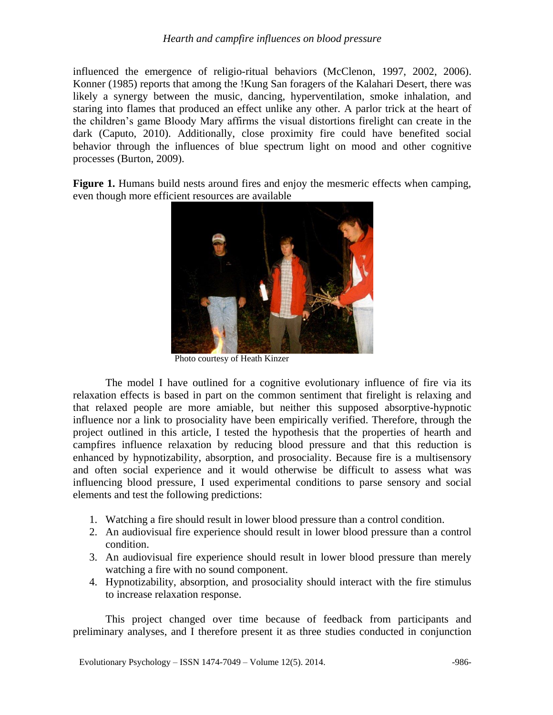influenced the emergence of religio-ritual behaviors (McClenon, 1997, 2002, 2006). Konner (1985) reports that among the !Kung San foragers of the Kalahari Desert, there was likely a synergy between the music, dancing, hyperventilation, smoke inhalation, and staring into flames that produced an effect unlike any other. A parlor trick at the heart of the children's game Bloody Mary affirms the visual distortions firelight can create in the dark (Caputo, 2010). Additionally, close proximity fire could have benefited social behavior through the influences of blue spectrum light on mood and other cognitive processes (Burton, 2009).

Figure 1. Humans build nests around fires and enjoy the mesmeric effects when camping, even though more efficient resources are available



Photo courtesy of Heath Kinzer

The model I have outlined for a cognitive evolutionary influence of fire via its relaxation effects is based in part on the common sentiment that firelight is relaxing and that relaxed people are more amiable, but neither this supposed absorptive-hypnotic influence nor a link to prosociality have been empirically verified. Therefore, through the project outlined in this article, I tested the hypothesis that the properties of hearth and campfires influence relaxation by reducing blood pressure and that this reduction is enhanced by hypnotizability, absorption, and prosociality. Because fire is a multisensory and often social experience and it would otherwise be difficult to assess what was influencing blood pressure, I used experimental conditions to parse sensory and social elements and test the following predictions:

- 1. Watching a fire should result in lower blood pressure than a control condition.
- 2. An audiovisual fire experience should result in lower blood pressure than a control condition.
- 3. An audiovisual fire experience should result in lower blood pressure than merely watching a fire with no sound component.
- 4. Hypnotizability, absorption, and prosociality should interact with the fire stimulus to increase relaxation response.

This project changed over time because of feedback from participants and preliminary analyses, and I therefore present it as three studies conducted in conjunction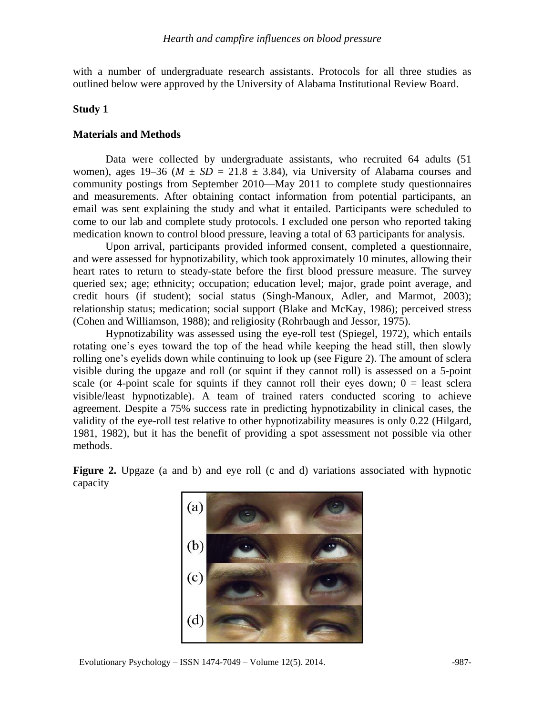with a number of undergraduate research assistants. Protocols for all three studies as outlined below were approved by the University of Alabama Institutional Review Board.

### **Study 1**

# **Materials and Methods**

Data were collected by undergraduate assistants, who recruited 64 adults (51 women), ages 19–36 ( $M \pm SD = 21.8 \pm 3.84$ ), via University of Alabama courses and community postings from September 2010—May 2011 to complete study questionnaires and measurements. After obtaining contact information from potential participants, an email was sent explaining the study and what it entailed. Participants were scheduled to come to our lab and complete study protocols. I excluded one person who reported taking medication known to control blood pressure, leaving a total of 63 participants for analysis.

Upon arrival, participants provided informed consent, completed a questionnaire, and were assessed for hypnotizability, which took approximately 10 minutes, allowing their heart rates to return to steady-state before the first blood pressure measure. The survey queried sex; age; ethnicity; occupation; education level; major, grade point average, and credit hours (if student); social status (Singh-Manoux, Adler, and Marmot, 2003); relationship status; medication; social support (Blake and McKay, 1986); perceived stress (Cohen and Williamson, 1988); and religiosity (Rohrbaugh and Jessor, 1975).

Hypnotizability was assessed using the eye-roll test (Spiegel, 1972), which entails rotating one's eyes toward the top of the head while keeping the head still, then slowly rolling one's eyelids down while continuing to look up (see Figure 2). The amount of sclera visible during the upgaze and roll (or squint if they cannot roll) is assessed on a 5-point scale (or 4-point scale for squints if they cannot roll their eyes down;  $0 =$  least sclera visible/least hypnotizable). A team of trained raters conducted scoring to achieve agreement. Despite a 75% success rate in predicting hypnotizability in clinical cases, the validity of the eye-roll test relative to other hypnotizability measures is only 0.22 (Hilgard, 1981, 1982), but it has the benefit of providing a spot assessment not possible via other methods.

Figure 2. Upgaze (a and b) and eye roll (c and d) variations associated with hypnotic capacity



Evolutionary Psychology – ISSN  $1474-7049$  – Volume 12(5). 2014.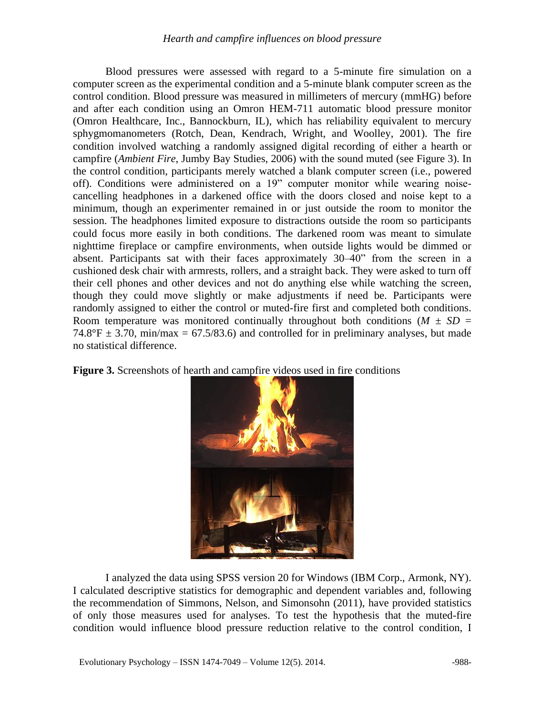Blood pressures were assessed with regard to a 5-minute fire simulation on a computer screen as the experimental condition and a 5-minute blank computer screen as the control condition. Blood pressure was measured in millimeters of mercury (mmHG) before and after each condition using an Omron HEM-711 automatic blood pressure monitor (Omron Healthcare, Inc., Bannockburn, IL), which has reliability equivalent to mercury sphygmomanometers (Rotch, Dean, Kendrach, Wright, and Woolley, 2001). The fire condition involved watching a randomly assigned digital recording of either a hearth or campfire (*Ambient Fire*, Jumby Bay Studies, 2006) with the sound muted (see Figure 3). In the control condition, participants merely watched a blank computer screen (i.e., powered off). Conditions were administered on a 19" computer monitor while wearing noisecancelling headphones in a darkened office with the doors closed and noise kept to a minimum, though an experimenter remained in or just outside the room to monitor the session. The headphones limited exposure to distractions outside the room so participants could focus more easily in both conditions. The darkened room was meant to simulate nighttime fireplace or campfire environments, when outside lights would be dimmed or absent. Participants sat with their faces approximately 30–40" from the screen in a cushioned desk chair with armrests, rollers, and a straight back. They were asked to turn off their cell phones and other devices and not do anything else while watching the screen, though they could move slightly or make adjustments if need be. Participants were randomly assigned to either the control or muted-fire first and completed both conditions. Room temperature was monitored continually throughout both conditions  $(M \pm SD =$ 74.8°F  $\pm$  3.70, min/max = 67.5/83.6) and controlled for in preliminary analyses, but made no statistical difference.

**Figure 3.** Screenshots of hearth and campfire videos used in fire conditions



I analyzed the data using SPSS version 20 for Windows (IBM Corp., Armonk, NY). I calculated descriptive statistics for demographic and dependent variables and, following the recommendation of Simmons, Nelson, and Simonsohn (2011), have provided statistics of only those measures used for analyses. To test the hypothesis that the muted-fire condition would influence blood pressure reduction relative to the control condition, I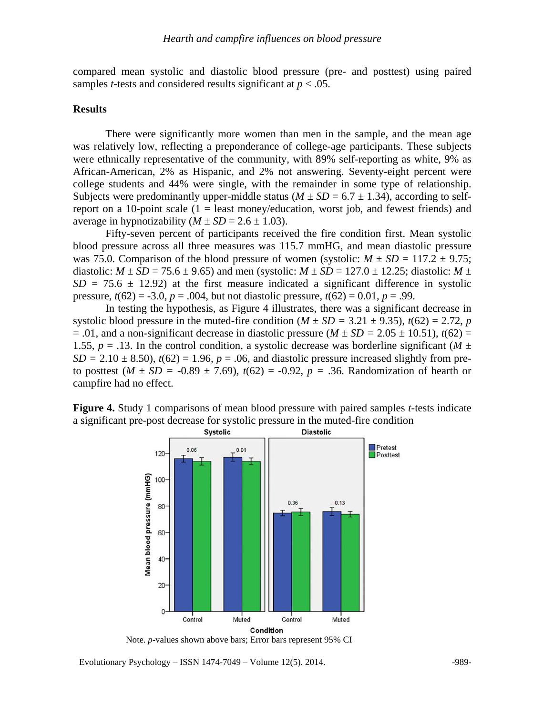compared mean systolic and diastolic blood pressure (pre- and posttest) using paired samples *t*-tests and considered results significant at *p* < .05.

#### **Results**

There were significantly more women than men in the sample, and the mean age was relatively low, reflecting a preponderance of college-age participants. These subjects were ethnically representative of the community, with 89% self-reporting as white, 9% as African-American, 2% as Hispanic, and 2% not answering. Seventy-eight percent were college students and 44% were single, with the remainder in some type of relationship. Subjects were predominantly upper-middle status  $(M \pm SD = 6.7 \pm 1.34)$ , according to selfreport on a 10-point scale  $(1 =$  least money/education, worst job, and fewest friends) and average in hypnotizability  $(M \pm SD = 2.6 \pm 1.03)$ .

Fifty-seven percent of participants received the fire condition first. Mean systolic blood pressure across all three measures was 115.7 mmHG, and mean diastolic pressure was 75.0. Comparison of the blood pressure of women (systolic:  $M \pm SD = 117.2 \pm 9.75$ ; diastolic:  $M \pm SD = 75.6 \pm 9.65$ ) and men (systolic:  $M \pm SD = 127.0 \pm 12.25$ ; diastolic:  $M \pm$  $SD = 75.6 \pm 12.92$ ) at the first measure indicated a significant difference in systolic pressure,  $t(62) = -3.0$ ,  $p = .004$ , but not diastolic pressure,  $t(62) = 0.01$ ,  $p = .99$ .

In testing the hypothesis, as Figure 4 illustrates, there was a significant decrease in systolic blood pressure in the muted-fire condition ( $M \pm SD = 3.21 \pm 9.35$ ),  $t(62) = 2.72$ , *p*  $= .01$ , and a non-significant decrease in diastolic pressure ( $M \pm SD = 2.05 \pm 10.51$ ),  $t(62) =$ 1.55,  $p = .13$ . In the control condition, a systolic decrease was borderline significant ( $M \pm$  $SD = 2.10 \pm 8.50$ ,  $t(62) = 1.96$ ,  $p = .06$ , and diastolic pressure increased slightly from preto posttest  $(M \pm SD = -0.89 \pm 7.69)$ ,  $t(62) = -0.92$ ,  $p = .36$ . Randomization of hearth or campfire had no effect.

**Figure 4.** Study 1 comparisons of mean blood pressure with paired samples *t*-tests indicate a significant pre-post decrease for systolic pressure in the muted-fire condition



Note. *p*-values shown above bars; Error bars represent 95% CI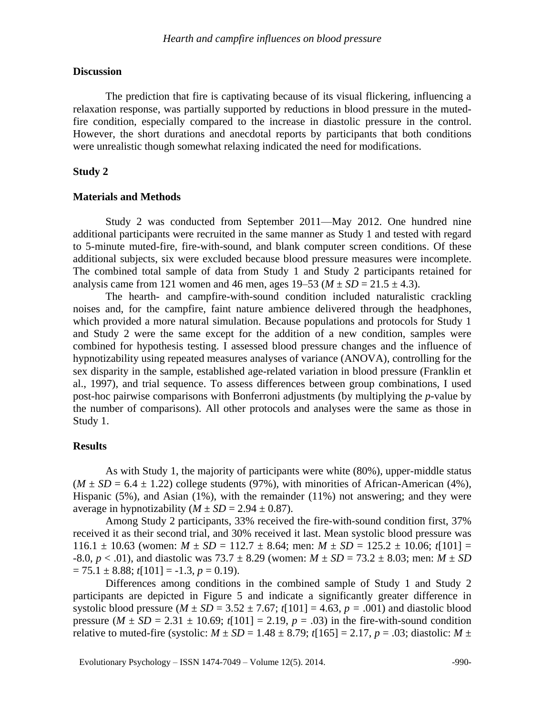### **Discussion**

The prediction that fire is captivating because of its visual flickering, influencing a relaxation response, was partially supported by reductions in blood pressure in the mutedfire condition, especially compared to the increase in diastolic pressure in the control. However, the short durations and anecdotal reports by participants that both conditions were unrealistic though somewhat relaxing indicated the need for modifications.

# **Study 2**

## **Materials and Methods**

Study 2 was conducted from September 2011—May 2012. One hundred nine additional participants were recruited in the same manner as Study 1 and tested with regard to 5-minute muted-fire, fire-with-sound, and blank computer screen conditions. Of these additional subjects, six were excluded because blood pressure measures were incomplete. The combined total sample of data from Study 1 and Study 2 participants retained for analysis came from 121 women and 46 men, ages  $19-53$  ( $M \pm SD = 21.5 \pm 4.3$ ).

The hearth- and campfire-with-sound condition included naturalistic crackling noises and, for the campfire, faint nature ambience delivered through the headphones, which provided a more natural simulation. Because populations and protocols for Study 1 and Study 2 were the same except for the addition of a new condition, samples were combined for hypothesis testing. I assessed blood pressure changes and the influence of hypnotizability using repeated measures analyses of variance (ANOVA), controlling for the sex disparity in the sample, established age-related variation in blood pressure (Franklin et al., 1997), and trial sequence. To assess differences between group combinations, I used post-hoc pairwise comparisons with Bonferroni adjustments (by multiplying the *p*-value by the number of comparisons). All other protocols and analyses were the same as those in Study 1.

#### **Results**

As with Study 1, the majority of participants were white (80%), upper-middle status  $(M \pm SD = 6.4 \pm 1.22)$  college students (97%), with minorities of African-American (4%), Hispanic (5%), and Asian (1%), with the remainder (11%) not answering; and they were average in hypnotizability  $(M \pm SD = 2.94 \pm 0.87)$ .

Among Study 2 participants, 33% received the fire-with-sound condition first, 37% received it as their second trial, and 30% received it last. Mean systolic blood pressure was 116.1  $\pm$  10.63 (women: *M*  $\pm$  *SD* = 112.7  $\pm$  8.64; men: *M*  $\pm$  *SD* = 125.2  $\pm$  10.06; *t*[101] =  $-8.0, p < .01$ ), and diastolic was  $73.7 \pm 8.29$  (women:  $M \pm SD = 73.2 \pm 8.03$ ; men:  $M \pm SD$  $= 75.1 \pm 8.88$ ;  $t[101] = -1.3$ ,  $p = 0.19$ ).

Differences among conditions in the combined sample of Study 1 and Study 2 participants are depicted in Figure 5 and indicate a significantly greater difference in systolic blood pressure ( $M \pm SD = 3.52 \pm 7.67$ ;  $t[101] = 4.63$ ,  $p = .001$ ) and diastolic blood pressure  $(M \pm SD = 2.31 \pm 10.69$ ;  $t[101] = 2.19$ ,  $p = .03$ ) in the fire-with-sound condition relative to muted-fire (systolic:  $M \pm SD = 1.48 \pm 8.79$ ;  $t[165] = 2.17$ ,  $p = .03$ ; diastolic:  $M \pm$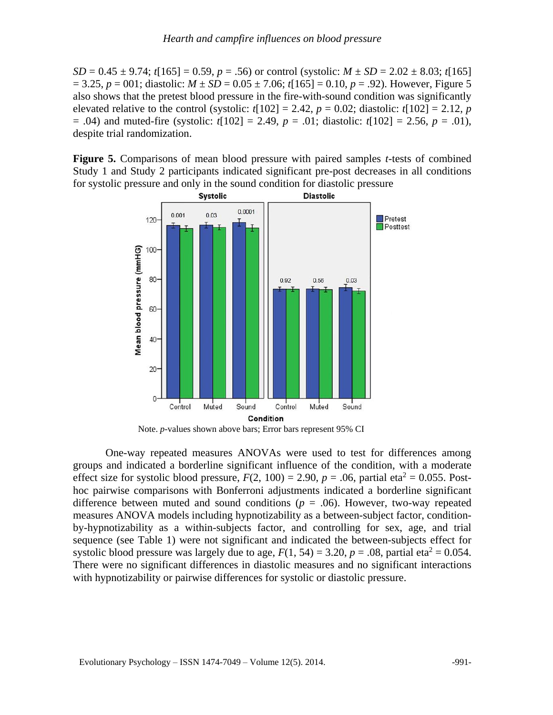$SD = 0.45 \pm 9.74$ ;  $t[165] = 0.59$ ,  $p = .56$ ) or control (systolic:  $M \pm SD = 2.02 \pm 8.03$ ;  $t[165]$  $= 3.25, p = 001$ ; diastolic:  $M \pm SD = 0.05 \pm 7.06$ ;  $t[165] = 0.10, p = .92$ ). However, Figure 5 also shows that the pretest blood pressure in the fire-with-sound condition was significantly elevated relative to the control (systolic:  $t[102] = 2.42$ ,  $p = 0.02$ ; diastolic:  $t[102] = 2.12$ , *p* = .04) and muted-fire (systolic: *t*[102] = 2.49, *p* = .01; diastolic: *t*[102] = 2.56, *p* = .01), despite trial randomization.

**Figure 5.** Comparisons of mean blood pressure with paired samples *t*-tests of combined Study 1 and Study 2 participants indicated significant pre-post decreases in all conditions for systolic pressure and only in the sound condition for diastolic pressure



One-way repeated measures ANOVAs were used to test for differences among groups and indicated a borderline significant influence of the condition, with a moderate effect size for systolic blood pressure,  $F(2, 100) = 2.90$ ,  $p = .06$ , partial eta<sup>2</sup> = 0.055. Posthoc pairwise comparisons with Bonferroni adjustments indicated a borderline significant difference between muted and sound conditions ( $p = .06$ ). However, two-way repeated measures ANOVA models including hypnotizability as a between-subject factor, conditionby-hypnotizability as a within-subjects factor, and controlling for sex, age, and trial sequence (see Table 1) were not significant and indicated the between-subjects effect for systolic blood pressure was largely due to age,  $F(1, 54) = 3.20$ ,  $p = .08$ , partial eta<sup>2</sup> = 0.054. There were no significant differences in diastolic measures and no significant interactions with hypnotizability or pairwise differences for systolic or diastolic pressure.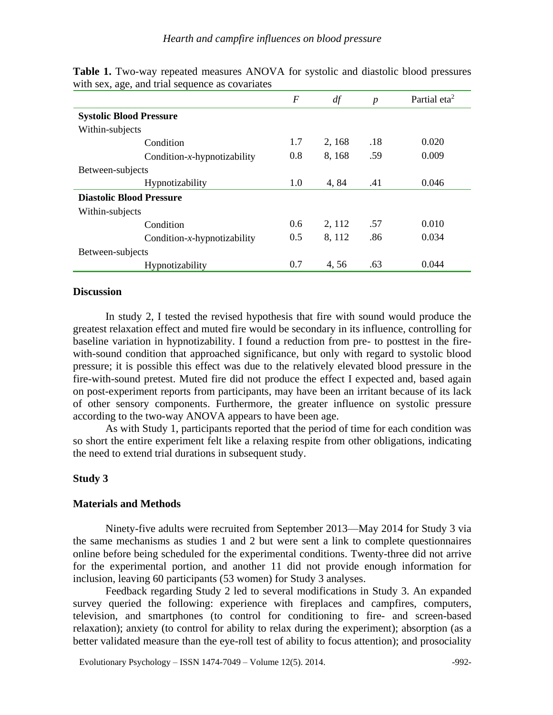|                                 | $\boldsymbol{F}$ | df     | $\boldsymbol{p}$ | Partial eta <sup>2</sup> |  |  |  |
|---------------------------------|------------------|--------|------------------|--------------------------|--|--|--|
| <b>Systolic Blood Pressure</b>  |                  |        |                  |                          |  |  |  |
| Within-subjects                 |                  |        |                  |                          |  |  |  |
| Condition                       | 1.7              | 2.168  | .18              | 0.020                    |  |  |  |
| Condition-x-hypnotizability     | 0.8              | 8,168  | .59              | 0.009                    |  |  |  |
| Between-subjects                |                  |        |                  |                          |  |  |  |
| Hypnotizability                 | 1.0              | 4,84   | .41              | 0.046                    |  |  |  |
| <b>Diastolic Blood Pressure</b> |                  |        |                  |                          |  |  |  |
| Within-subjects                 |                  |        |                  |                          |  |  |  |
| Condition                       | 0.6              | 2, 112 | .57              | 0.010                    |  |  |  |
| Condition-x-hypnotizability     | 0.5              | 8, 112 | .86              | 0.034                    |  |  |  |
| Between-subjects                |                  |        |                  |                          |  |  |  |
| Hypnotizability                 | 0.7              | 4.56   | .63              | 0.044                    |  |  |  |

**Table 1.** Two-way repeated measures ANOVA for systolic and diastolic blood pressures with sex, age, and trial sequence as covariates

#### **Discussion**

In study 2, I tested the revised hypothesis that fire with sound would produce the greatest relaxation effect and muted fire would be secondary in its influence, controlling for baseline variation in hypnotizability. I found a reduction from pre- to posttest in the firewith-sound condition that approached significance, but only with regard to systolic blood pressure; it is possible this effect was due to the relatively elevated blood pressure in the fire-with-sound pretest. Muted fire did not produce the effect I expected and, based again on post-experiment reports from participants, may have been an irritant because of its lack of other sensory components. Furthermore, the greater influence on systolic pressure according to the two-way ANOVA appears to have been age.

As with Study 1, participants reported that the period of time for each condition was so short the entire experiment felt like a relaxing respite from other obligations, indicating the need to extend trial durations in subsequent study.

#### **Study 3**

#### **Materials and Methods**

Ninety-five adults were recruited from September 2013—May 2014 for Study 3 via the same mechanisms as studies 1 and 2 but were sent a link to complete questionnaires online before being scheduled for the experimental conditions. Twenty-three did not arrive for the experimental portion, and another 11 did not provide enough information for inclusion, leaving 60 participants (53 women) for Study 3 analyses.

Feedback regarding Study 2 led to several modifications in Study 3. An expanded survey queried the following: experience with fireplaces and campfires, computers, television, and smartphones (to control for conditioning to fire- and screen-based relaxation); anxiety (to control for ability to relax during the experiment); absorption (as a better validated measure than the eye-roll test of ability to focus attention); and prosociality

Evolutionary Psychology – ISSN  $1474-7049$  – Volume 12(5). 2014.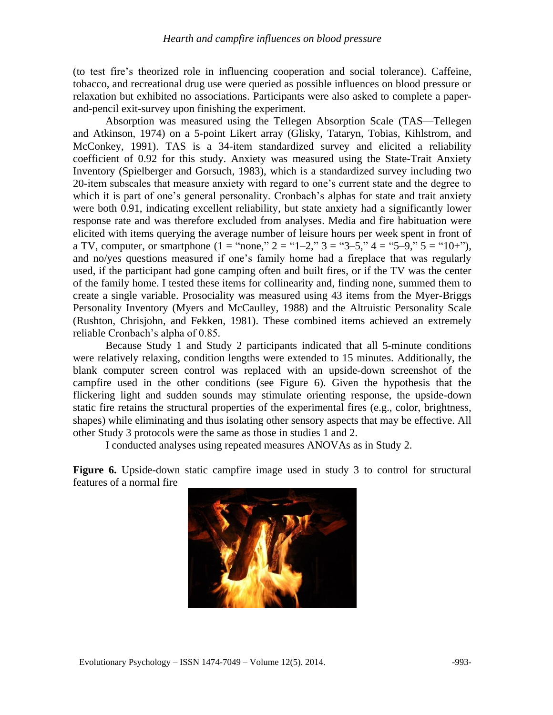(to test fire's theorized role in influencing cooperation and social tolerance). Caffeine, tobacco, and recreational drug use were queried as possible influences on blood pressure or relaxation but exhibited no associations. Participants were also asked to complete a paperand-pencil exit-survey upon finishing the experiment.

Absorption was measured using the Tellegen Absorption Scale (TAS—Tellegen and Atkinson, 1974) on a 5-point Likert array (Glisky, Tataryn, Tobias, Kihlstrom, and McConkey, 1991). TAS is a 34-item standardized survey and elicited a reliability coefficient of 0.92 for this study. Anxiety was measured using the State-Trait Anxiety Inventory (Spielberger and Gorsuch, 1983), which is a standardized survey including two 20-item subscales that measure anxiety with regard to one's current state and the degree to which it is part of one's general personality. Cronbach's alphas for state and trait anxiety were both 0.91, indicating excellent reliability, but state anxiety had a significantly lower response rate and was therefore excluded from analyses. Media and fire habituation were elicited with items querying the average number of leisure hours per week spent in front of a TV, computer, or smartphone  $(1 = \text{``none'' } 2 = \text{``1--2'' } 3 = \text{``3--5'' } 4 = \text{``5--9'' } 5 = \text{``10+''},$ and no/yes questions measured if one's family home had a fireplace that was regularly used, if the participant had gone camping often and built fires, or if the TV was the center of the family home. I tested these items for collinearity and, finding none, summed them to create a single variable. Prosociality was measured using 43 items from the Myer-Briggs Personality Inventory (Myers and McCaulley, 1988) and the Altruistic Personality Scale (Rushton, Chrisjohn, and Fekken, 1981). These combined items achieved an extremely reliable Cronbach's alpha of 0.85.

Because Study 1 and Study 2 participants indicated that all 5-minute conditions were relatively relaxing, condition lengths were extended to 15 minutes. Additionally, the blank computer screen control was replaced with an upside-down screenshot of the campfire used in the other conditions (see Figure 6). Given the hypothesis that the flickering light and sudden sounds may stimulate orienting response, the upside-down static fire retains the structural properties of the experimental fires (e.g., color, brightness, shapes) while eliminating and thus isolating other sensory aspects that may be effective. All other Study 3 protocols were the same as those in studies 1 and 2.

I conducted analyses using repeated measures ANOVAs as in Study 2.

**Figure 6.** Upside-down static campfire image used in study 3 to control for structural features of a normal fire

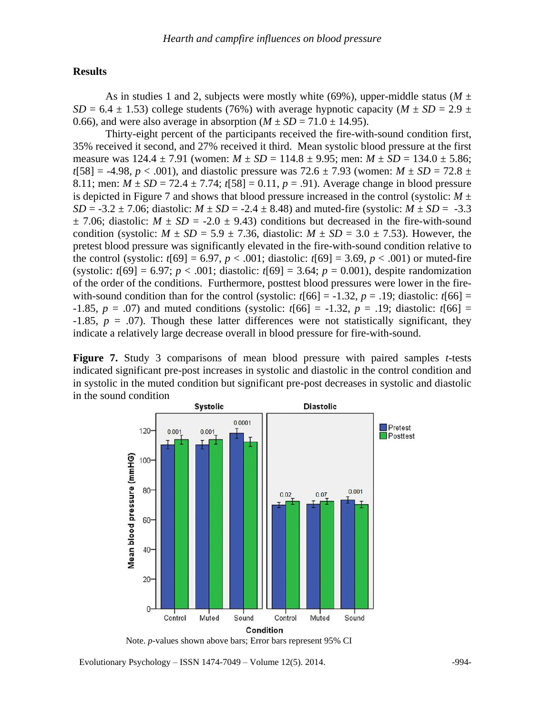# **Results**

As in studies 1 and 2, subjects were mostly white (69%), upper-middle status ( $M \pm$ *SD* = 6.4  $\pm$  1.53) college students (76%) with average hypnotic capacity (*M*  $\pm$  *SD* = 2.9  $\pm$ 0.66), and were also average in absorption  $(M \pm SD = 71.0 \pm 14.95)$ .

Thirty-eight percent of the participants received the fire-with-sound condition first, 35% received it second, and 27% received it third. Mean systolic blood pressure at the first measure was  $124.4 \pm 7.91$  (women:  $M \pm SD = 114.8 \pm 9.95$ ; men:  $M \pm SD = 134.0 \pm 5.86$ ; *t*[58] = -4.98, *p* < .001), and diastolic pressure was 72.6  $\pm$  7.93 (women: *M*  $\pm$  *SD* = 72.8  $\pm$ 8.11; men:  $M \pm SD = 72.4 \pm 7.74$ ;  $t[58] = 0.11$ ,  $p = .91$ ). Average change in blood pressure is depicted in Figure 7 and shows that blood pressure increased in the control (systolic:  $M \pm$ *SD* =  $-3.2 \pm 7.06$ ; diastolic: *M*  $\pm$  *SD* =  $-2.4 \pm 8.48$ ) and muted-fire (systolic: *M*  $\pm$  *SD* =  $-3.3$  $\pm$  7.06; diastolic: *M*  $\pm$  *SD* = -2.0  $\pm$  9.43) conditions but decreased in the fire-with-sound condition (systolic:  $M \pm SD = 5.9 \pm 7.36$ , diastolic:  $M \pm SD = 3.0 \pm 7.53$ ). However, the pretest blood pressure was significantly elevated in the fire-with-sound condition relative to the control (systolic:  $t[69] = 6.97$ ,  $p < .001$ ; diastolic:  $t[69] = 3.69$ ,  $p < .001$ ) or muted-fire (systolic:  $t[69] = 6.97$ ;  $p < .001$ ; diastolic:  $t[69] = 3.64$ ;  $p = 0.001$ ), despite randomization of the order of the conditions. Furthermore, posttest blood pressures were lower in the firewith-sound condition than for the control (systolic:  $t[66] = -1.32$ ,  $p = .19$ ; diastolic:  $t[66] =$ -1.85,  $p = .07$ ) and muted conditions (systolic:  $t[66] = -1.32$ ,  $p = .19$ ; diastolic:  $t[66] =$  $-1.85$ ,  $p = .07$ ). Though these latter differences were not statistically significant, they indicate a relatively large decrease overall in blood pressure for fire-with-sound.

**Figure 7.** Study 3 comparisons of mean blood pressure with paired samples *t*-tests indicated significant pre-post increases in systolic and diastolic in the control condition and in systolic in the muted condition but significant pre-post decreases in systolic and diastolic in the sound condition



Note. *p*-values shown above bars; Error bars represent 95% CI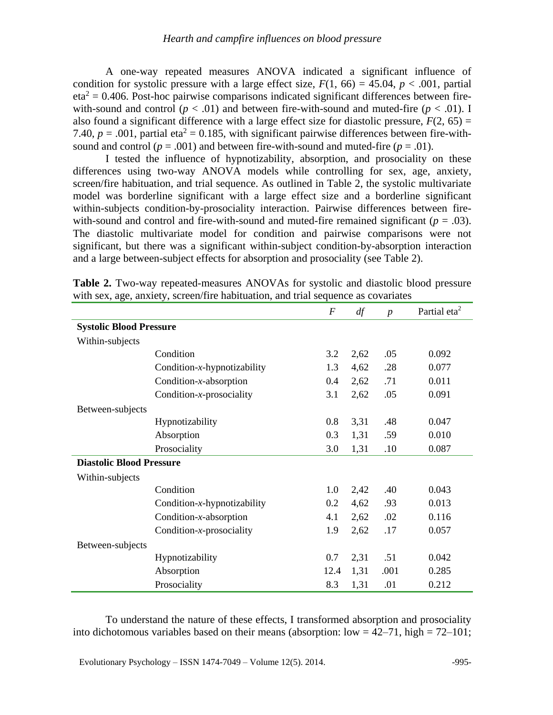A one-way repeated measures ANOVA indicated a significant influence of condition for systolic pressure with a large effect size,  $F(1, 66) = 45.04$ ,  $p < .001$ , partial  $eta^2 = 0.406$ . Post-hoc pairwise comparisons indicated significant differences between firewith-sound and control ( $p < .01$ ) and between fire-with-sound and muted-fire ( $p < .01$ ). I also found a significant difference with a large effect size for diastolic pressure,  $F(2, 65) =$ 7.40,  $p = .001$ , partial eta<sup>2</sup> = 0.185, with significant pairwise differences between fire-withsound and control ( $p = .001$ ) and between fire-with-sound and muted-fire ( $p = .01$ ).

I tested the influence of hypnotizability, absorption, and prosociality on these differences using two-way ANOVA models while controlling for sex, age, anxiety, screen/fire habituation, and trial sequence. As outlined in Table 2, the systolic multivariate model was borderline significant with a large effect size and a borderline significant within-subjects condition-by-prosociality interaction. Pairwise differences between firewith-sound and control and fire-with-sound and muted-fire remained significant ( $p = .03$ ). The diastolic multivariate model for condition and pairwise comparisons were not significant, but there was a significant within-subject condition-by-absorption interaction and a large between-subject effects for absorption and prosociality (see Table 2).

|                                 |                                 | $\boldsymbol{F}$ | df   | $\boldsymbol{p}$ | Partial eta <sup>2</sup> |
|---------------------------------|---------------------------------|------------------|------|------------------|--------------------------|
| <b>Systolic Blood Pressure</b>  |                                 |                  |      |                  |                          |
| Within-subjects                 |                                 |                  |      |                  |                          |
|                                 | Condition                       | 3.2              | 2,62 | .05              | 0.092                    |
|                                 | Condition- $x$ -hypnotizability | 1.3              | 4,62 | .28              | 0.077                    |
|                                 | Condition- $x$ -absorption      | 0.4              | 2,62 | .71              | 0.011                    |
|                                 | Condition- $x$ -prosociality    | 3.1              | 2,62 | .05              | 0.091                    |
| Between-subjects                |                                 |                  |      |                  |                          |
|                                 | Hypnotizability                 | 0.8              | 3,31 | .48              | 0.047                    |
|                                 | Absorption                      | 0.3              | 1,31 | .59              | 0.010                    |
|                                 | Prosociality                    | 3.0              | 1,31 | .10              | 0.087                    |
| <b>Diastolic Blood Pressure</b> |                                 |                  |      |                  |                          |
| Within-subjects                 |                                 |                  |      |                  |                          |
|                                 | Condition                       | 1.0              | 2,42 | .40              | 0.043                    |
|                                 | Condition- $x$ -hypnotizability | 0.2              | 4,62 | .93              | 0.013                    |
|                                 | Condition- $x$ -absorption      | 4.1              | 2,62 | .02              | 0.116                    |
|                                 | Condition- $x$ -prosociality    | 1.9              | 2,62 | .17              | 0.057                    |
| Between-subjects                |                                 |                  |      |                  |                          |
|                                 | Hypnotizability                 | 0.7              | 2,31 | .51              | 0.042                    |
|                                 | Absorption                      | 12.4             | 1,31 | .001             | 0.285                    |
|                                 | Prosociality                    | 8.3              | 1,31 | .01              | 0.212                    |

**Table 2.** Two-way repeated-measures ANOVAs for systolic and diastolic blood pressure with sex, age, anxiety, screen/fire habituation, and trial sequence as covariates

To understand the nature of these effects, I transformed absorption and prosociality into dichotomous variables based on their means (absorption:  $low = 42-71$ , high  $= 72-101$ ;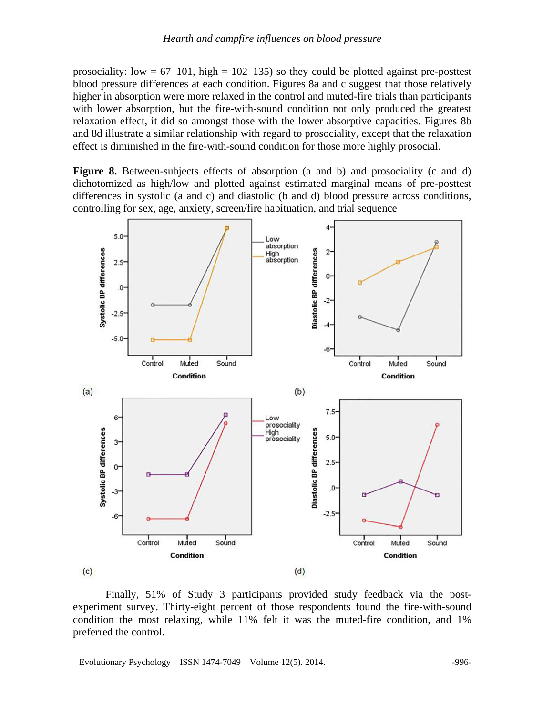prosociality: low =  $67-101$ , high =  $102-135$ ) so they could be plotted against pre-posttest blood pressure differences at each condition. Figures 8a and c suggest that those relatively higher in absorption were more relaxed in the control and muted-fire trials than participants with lower absorption, but the fire-with-sound condition not only produced the greatest relaxation effect, it did so amongst those with the lower absorptive capacities. Figures 8b and 8d illustrate a similar relationship with regard to prosociality, except that the relaxation effect is diminished in the fire-with-sound condition for those more highly prosocial.

**Figure 8.** Between-subjects effects of absorption (a and b) and prosociality (c and d) dichotomized as high/low and plotted against estimated marginal means of pre-posttest differences in systolic (a and c) and diastolic (b and d) blood pressure across conditions, controlling for sex, age, anxiety, screen/fire habituation, and trial sequence



Finally, 51% of Study 3 participants provided study feedback via the postexperiment survey. Thirty-eight percent of those respondents found the fire-with-sound condition the most relaxing, while 11% felt it was the muted-fire condition, and 1% preferred the control.

Evolutionary Psychology – ISSN  $1474-7049$  – Volume 12(5). 2014.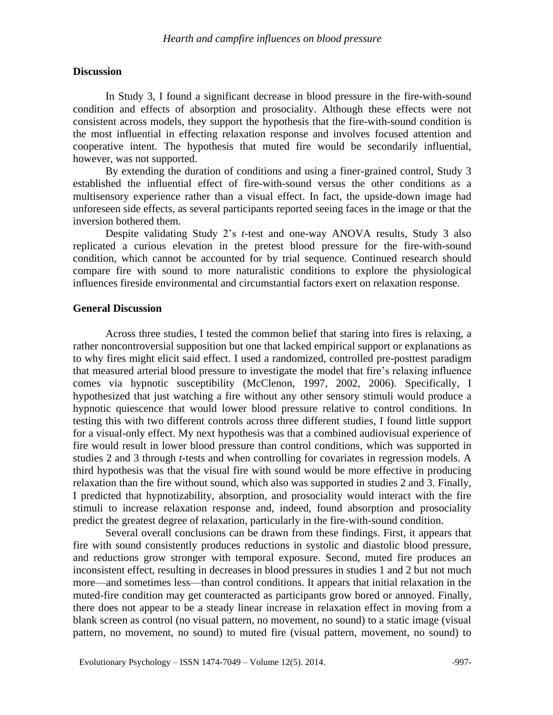#### **Discussion**

In Study 3, I found a significant decrease in blood pressure in the fire-with-sound condition and effects of absorption and prosociality. Although these effects were not consistent across models, they support the hypothesis that the fire-with-sound condition is the most influential in effecting relaxation response and involves focused attention and cooperative intent. The hypothesis that muted fire would be secondarily influential, however, was not supported.

By extending the duration of conditions and using a finer-grained control, Study 3 established the influential effect of fire-with-sound versus the other conditions as a multisensory experience rather than a visual effect. In fact, the upside-down image had unforeseen side effects, as several participants reported seeing faces in the image or that the inversion bothered them.

Despite validating Study 2's *t*-test and one-way ANOVA results, Study 3 also replicated a curious elevation in the pretest blood pressure for the fire-with-sound condition, which cannot be accounted for by trial sequence. Continued research should compare fire with sound to more naturalistic conditions to explore the physiological influences fireside environmental and circumstantial factors exert on relaxation response.

# **General Discussion**

Across three studies, I tested the common belief that staring into fires is relaxing, a rather noncontroversial supposition but one that lacked empirical support or explanations as to why fires might elicit said effect. I used a randomized, controlled pre-posttest paradigm that measured arterial blood pressure to investigate the model that fire's relaxing influence comes via hypnotic susceptibility (McClenon, 1997, 2002, 2006). Specifically, I hypothesized that just watching a fire without any other sensory stimuli would produce a hypnotic quiescence that would lower blood pressure relative to control conditions. In testing this with two different controls across three different studies, I found little support for a visual-only effect. My next hypothesis was that a combined audiovisual experience of fire would result in lower blood pressure than control conditions, which was supported in studies 2 and 3 through *t*-tests and when controlling for covariates in regression models. A third hypothesis was that the visual fire with sound would be more effective in producing relaxation than the fire without sound, which also was supported in studies 2 and 3. Finally, I predicted that hypnotizability, absorption, and prosociality would interact with the fire stimuli to increase relaxation response and, indeed, found absorption and prosociality predict the greatest degree of relaxation, particularly in the fire-with-sound condition.

Several overall conclusions can be drawn from these findings. First, it appears that fire with sound consistently produces reductions in systolic and diastolic blood pressure, and reductions grow stronger with temporal exposure. Second, muted fire produces an inconsistent effect, resulting in decreases in blood pressures in studies 1 and 2 but not much more—and sometimes less—than control conditions. It appears that initial relaxation in the muted-fire condition may get counteracted as participants grow bored or annoyed. Finally, there does not appear to be a steady linear increase in relaxation effect in moving from a blank screen as control (no visual pattern, no movement, no sound) to a static image (visual pattern, no movement, no sound) to muted fire (visual pattern, movement, no sound) to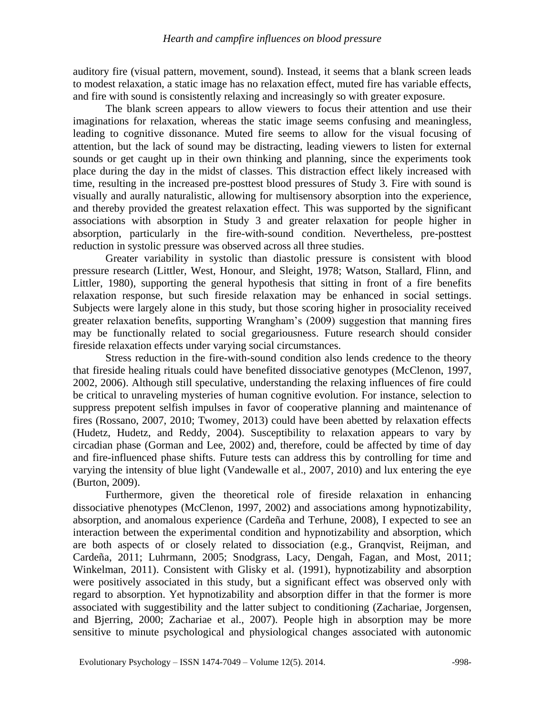auditory fire (visual pattern, movement, sound). Instead, it seems that a blank screen leads to modest relaxation, a static image has no relaxation effect, muted fire has variable effects, and fire with sound is consistently relaxing and increasingly so with greater exposure.

The blank screen appears to allow viewers to focus their attention and use their imaginations for relaxation, whereas the static image seems confusing and meaningless, leading to cognitive dissonance. Muted fire seems to allow for the visual focusing of attention, but the lack of sound may be distracting, leading viewers to listen for external sounds or get caught up in their own thinking and planning, since the experiments took place during the day in the midst of classes. This distraction effect likely increased with time, resulting in the increased pre-posttest blood pressures of Study 3. Fire with sound is visually and aurally naturalistic, allowing for multisensory absorption into the experience, and thereby provided the greatest relaxation effect. This was supported by the significant associations with absorption in Study 3 and greater relaxation for people higher in absorption, particularly in the fire-with-sound condition. Nevertheless, pre-posttest reduction in systolic pressure was observed across all three studies.

Greater variability in systolic than diastolic pressure is consistent with blood pressure research (Littler, West, Honour, and Sleight, 1978; Watson, Stallard, Flinn, and Littler, 1980), supporting the general hypothesis that sitting in front of a fire benefits relaxation response, but such fireside relaxation may be enhanced in social settings. Subjects were largely alone in this study, but those scoring higher in prosociality received greater relaxation benefits, supporting Wrangham's (2009) suggestion that manning fires may be functionally related to social gregariousness. Future research should consider fireside relaxation effects under varying social circumstances.

Stress reduction in the fire-with-sound condition also lends credence to the theory that fireside healing rituals could have benefited dissociative genotypes (McClenon, 1997, 2002, 2006). Although still speculative, understanding the relaxing influences of fire could be critical to unraveling mysteries of human cognitive evolution. For instance, selection to suppress prepotent selfish impulses in favor of cooperative planning and maintenance of fires (Rossano, 2007, 2010; Twomey, 2013) could have been abetted by relaxation effects (Hudetz, Hudetz, and Reddy, 2004). Susceptibility to relaxation appears to vary by circadian phase (Gorman and Lee, 2002) and, therefore, could be affected by time of day and fire-influenced phase shifts. Future tests can address this by controlling for time and varying the intensity of blue light (Vandewalle et al., 2007, 2010) and lux entering the eye (Burton, 2009).

Furthermore, given the theoretical role of fireside relaxation in enhancing dissociative phenotypes (McClenon, 1997, 2002) and associations among hypnotizability, absorption, and anomalous experience (Cardeña and Terhune, 2008), I expected to see an interaction between the experimental condition and hypnotizability and absorption, which are both aspects of or closely related to dissociation (e.g., Granqvist, Reijman, and Cardeña, 2011; Luhrmann, 2005; Snodgrass, Lacy, Dengah, Fagan, and Most, 2011; Winkelman, 2011). Consistent with Glisky et al. (1991), hypnotizability and absorption were positively associated in this study, but a significant effect was observed only with regard to absorption. Yet hypnotizability and absorption differ in that the former is more associated with suggestibility and the latter subject to conditioning (Zachariae, Jorgensen, and Bjerring, 2000; Zachariae et al., 2007). People high in absorption may be more sensitive to minute psychological and physiological changes associated with autonomic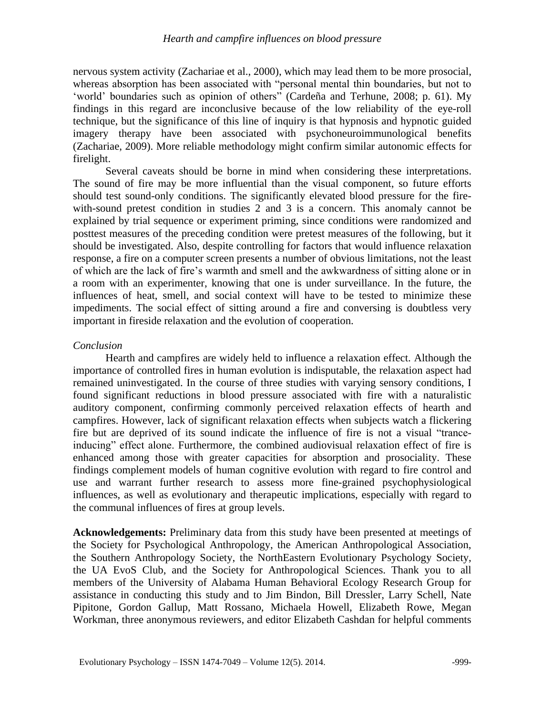nervous system activity (Zachariae et al., 2000), which may lead them to be more prosocial, whereas absorption has been associated with "personal mental thin boundaries, but not to 'world' boundaries such as opinion of others" (Cardeña and Terhune, 2008; p. 61). My findings in this regard are inconclusive because of the low reliability of the eye-roll technique, but the significance of this line of inquiry is that hypnosis and hypnotic guided imagery therapy have been associated with psychoneuroimmunological benefits (Zachariae, 2009). More reliable methodology might confirm similar autonomic effects for firelight.

Several caveats should be borne in mind when considering these interpretations. The sound of fire may be more influential than the visual component, so future efforts should test sound-only conditions. The significantly elevated blood pressure for the firewith-sound pretest condition in studies 2 and 3 is a concern. This anomaly cannot be explained by trial sequence or experiment priming, since conditions were randomized and posttest measures of the preceding condition were pretest measures of the following, but it should be investigated. Also, despite controlling for factors that would influence relaxation response, a fire on a computer screen presents a number of obvious limitations, not the least of which are the lack of fire's warmth and smell and the awkwardness of sitting alone or in a room with an experimenter, knowing that one is under surveillance. In the future, the influences of heat, smell, and social context will have to be tested to minimize these impediments. The social effect of sitting around a fire and conversing is doubtless very important in fireside relaxation and the evolution of cooperation.

#### *Conclusion*

Hearth and campfires are widely held to influence a relaxation effect. Although the importance of controlled fires in human evolution is indisputable, the relaxation aspect had remained uninvestigated. In the course of three studies with varying sensory conditions, I found significant reductions in blood pressure associated with fire with a naturalistic auditory component, confirming commonly perceived relaxation effects of hearth and campfires. However, lack of significant relaxation effects when subjects watch a flickering fire but are deprived of its sound indicate the influence of fire is not a visual "tranceinducing" effect alone. Furthermore, the combined audiovisual relaxation effect of fire is enhanced among those with greater capacities for absorption and prosociality. These findings complement models of human cognitive evolution with regard to fire control and use and warrant further research to assess more fine-grained psychophysiological influences, as well as evolutionary and therapeutic implications, especially with regard to the communal influences of fires at group levels.

**Acknowledgements:** Preliminary data from this study have been presented at meetings of the Society for Psychological Anthropology, the American Anthropological Association, the Southern Anthropology Society, the NorthEastern Evolutionary Psychology Society, the UA EvoS Club, and the Society for Anthropological Sciences. Thank you to all members of the University of Alabama Human Behavioral Ecology Research Group for assistance in conducting this study and to Jim Bindon, Bill Dressler, Larry Schell, Nate Pipitone, Gordon Gallup, Matt Rossano, Michaela Howell, Elizabeth Rowe, Megan Workman, three anonymous reviewers, and editor Elizabeth Cashdan for helpful comments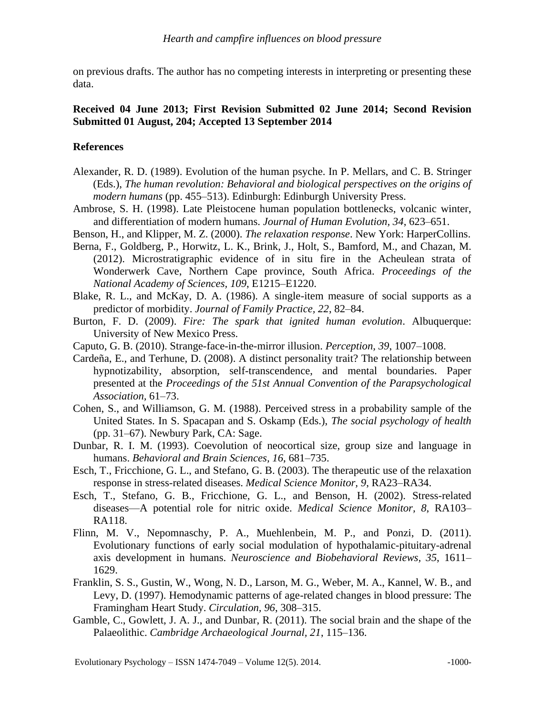on previous drafts. The author has no competing interests in interpreting or presenting these data.

# **Received 04 June 2013; First Revision Submitted 02 June 2014; Second Revision Submitted 01 August, 204; Accepted 13 September 2014**

#### **References**

- Alexander, R. D. (1989). Evolution of the human psyche. In P. Mellars, and C. B. Stringer (Eds.), *The human revolution: Behavioral and biological perspectives on the origins of modern humans* (pp. 455–513). Edinburgh: Edinburgh University Press.
- Ambrose, S. H. (1998). Late Pleistocene human population bottlenecks, volcanic winter, and differentiation of modern humans. *Journal of Human Evolution, 34*, 623–651.
- Benson, H., and Klipper, M. Z. (2000). *The relaxation response*. New York: HarperCollins.
- Berna, F., Goldberg, P., Horwitz, L. K., Brink, J., Holt, S., Bamford, M., and Chazan, M. (2012). Microstratigraphic evidence of in situ fire in the Acheulean strata of Wonderwerk Cave, Northern Cape province, South Africa. *Proceedings of the National Academy of Sciences, 109*, E1215–E1220.
- Blake, R. L., and McKay, D. A. (1986). A single-item measure of social supports as a predictor of morbidity. *Journal of Family Practice, 22*, 82–84.
- Burton, F. D. (2009). *Fire: The spark that ignited human evolution*. Albuquerque: University of New Mexico Press.
- Caputo, G. B. (2010). Strange-face-in-the-mirror illusion. *Perception, 39*, 1007–1008.
- Cardeña, E., and Terhune, D. (2008). A distinct personality trait? The relationship between hypnotizability, absorption, self-transcendence, and mental boundaries. Paper presented at the *Proceedings of the 51st Annual Convention of the Parapsychological Association,* 61–73.
- Cohen, S., and Williamson, G. M. (1988). Perceived stress in a probability sample of the United States. In S. Spacapan and S. Oskamp (Eds.), *The social psychology of health* (pp. 31–67). Newbury Park, CA: Sage.
- Dunbar, R. I. M. (1993). Coevolution of neocortical size, group size and language in humans. *Behavioral and Brain Sciences, 16*, 681–735.
- Esch, T., Fricchione, G. L., and Stefano, G. B. (2003). The therapeutic use of the relaxation response in stress-related diseases. *Medical Science Monitor, 9*, RA23–RA34.
- Esch, T., Stefano, G. B., Fricchione, G. L., and Benson, H. (2002). Stress-related diseases—A potential role for nitric oxide. *Medical Science Monitor, 8*, RA103– RA118.
- Flinn, M. V., Nepomnaschy, P. A., Muehlenbein, M. P., and Ponzi, D. (2011). Evolutionary functions of early social modulation of hypothalamic-pituitary-adrenal axis development in humans. *Neuroscience and Biobehavioral Reviews, 35*, 1611– 1629.
- Franklin, S. S., Gustin, W., Wong, N. D., Larson, M. G., Weber, M. A., Kannel, W. B., and Levy, D. (1997). Hemodynamic patterns of age-related changes in blood pressure: The Framingham Heart Study. *Circulation, 96*, 308–315.
- Gamble, C., Gowlett, J. A. J., and Dunbar, R. (2011). The social brain and the shape of the Palaeolithic. *Cambridge Archaeological Journal, 21*, 115–136.

Evolutionary Psychology – ISSN 1474-7049 – Volume 12(5). 2014.  $\sim$  -1000-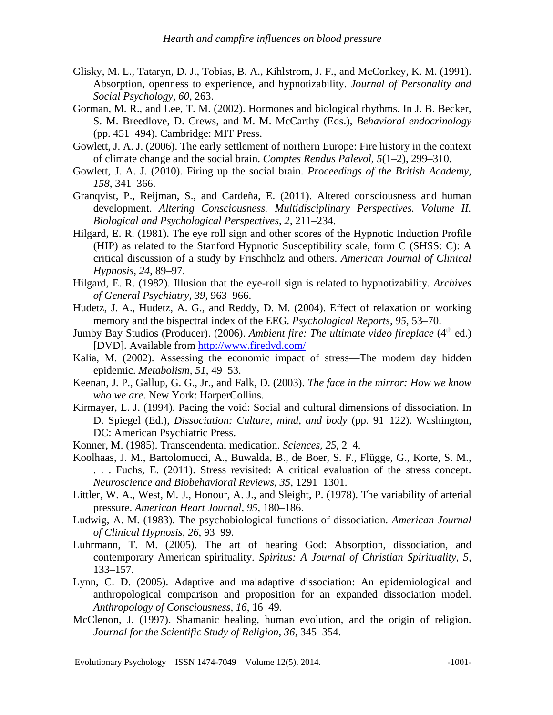- Glisky, M. L., Tataryn, D. J., Tobias, B. A., Kihlstrom, J. F., and McConkey, K. M. (1991). Absorption, openness to experience, and hypnotizability. *Journal of Personality and Social Psychology, 60*, 263.
- Gorman, M. R., and Lee, T. M. (2002). Hormones and biological rhythms. In J. B. Becker, S. M. Breedlove, D. Crews, and M. M. McCarthy (Eds.), *Behavioral endocrinology* (pp. 451–494). Cambridge: MIT Press.
- Gowlett, J. A. J. (2006). The early settlement of northern Europe: Fire history in the context of climate change and the social brain. *Comptes Rendus Palevol, 5*(1–2), 299–310.
- Gowlett, J. A. J. (2010). Firing up the social brain. *Proceedings of the British Academy, 158*, 341–366.
- Granqvist, P., Reijman, S., and Cardeña, E. (2011). Altered consciousness and human development. *Altering Consciousness. Multidisciplinary Perspectives. Volume II. Biological and Psychological Perspectives, 2*, 211–234.
- Hilgard, E. R. (1981). The eye roll sign and other scores of the Hypnotic Induction Profile (HIP) as related to the Stanford Hypnotic Susceptibility scale, form C (SHSS: C): A critical discussion of a study by Frischholz and others. *American Journal of Clinical Hypnosis, 24*, 89–97.
- Hilgard, E. R. (1982). Illusion that the eye-roll sign is related to hypnotizability. *Archives of General Psychiatry, 39*, 963–966.
- Hudetz, J. A., Hudetz, A. G., and Reddy, D. M. (2004). Effect of relaxation on working memory and the bispectral index of the EEG. *Psychological Reports, 95*, 53–70.
- Jumby Bay Studios (Producer). (2006). Ambient fire: The ultimate video fireplace (4<sup>th</sup> ed.) [DVD]. Available from<http://www.firedvd.com/>
- Kalia, M. (2002). Assessing the economic impact of stress—The modern day hidden epidemic. *Metabolism, 51*, 49–53.
- Keenan, J. P., Gallup, G. G., Jr., and Falk, D. (2003). *The face in the mirror: How we know who we are*. New York: HarperCollins.
- Kirmayer, L. J. (1994). Pacing the void: Social and cultural dimensions of dissociation. In D. Spiegel (Ed.), *Dissociation: Culture, mind, and body* (pp. 91–122). Washington, DC: American Psychiatric Press.
- Konner, M. (1985). Transcendental medication. *Sciences, 25*, 2–4.
- Koolhaas, J. M., Bartolomucci, A., Buwalda, B., de Boer, S. F., Flügge, G., Korte, S. M., . . . Fuchs, E. (2011). Stress revisited: A critical evaluation of the stress concept. *Neuroscience and Biobehavioral Reviews, 35*, 1291–1301.
- Littler, W. A., West, M. J., Honour, A. J., and Sleight, P. (1978). The variability of arterial pressure. *American Heart Journal, 95*, 180–186.
- Ludwig, A. M. (1983). The psychobiological functions of dissociation. *American Journal of Clinical Hypnosis, 26*, 93–99.
- Luhrmann, T. M. (2005). The art of hearing God: Absorption, dissociation, and contemporary American spirituality. *Spiritus: A Journal of Christian Spirituality, 5*, 133–157.
- Lynn, C. D. (2005). Adaptive and maladaptive dissociation: An epidemiological and anthropological comparison and proposition for an expanded dissociation model. *Anthropology of Consciousness, 16*, 16–49.
- McClenon, J. (1997). Shamanic healing, human evolution, and the origin of religion. *Journal for the Scientific Study of Religion, 36*, 345–354.

Evolutionary Psychology – ISSN 1474-7049 – Volume 12(5). 2014.  $\sim$  -1001-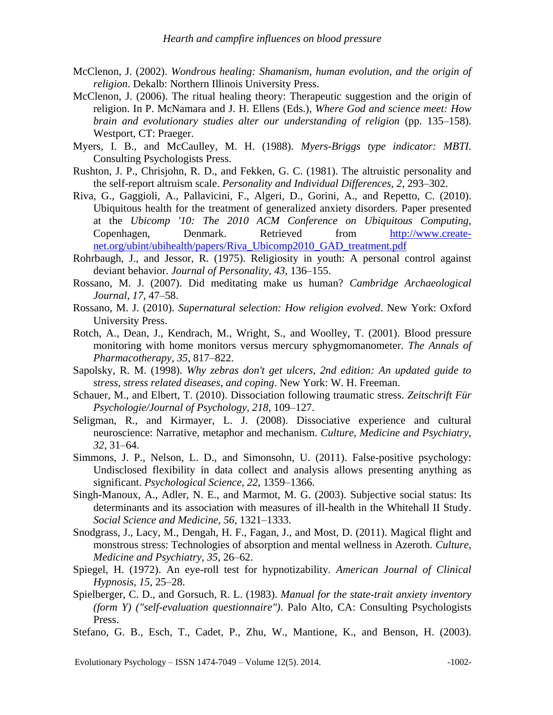- McClenon, J. (2002). *Wondrous healing: Shamanism, human evolution, and the origin of religion*. Dekalb: Northern Illinois University Press.
- McClenon, J. (2006). The ritual healing theory: Therapeutic suggestion and the origin of religion. In P. McNamara and J. H. Ellens (Eds.), *Where God and science meet: How brain and evolutionary studies alter our understanding of religion* (pp. 135–158). Westport, CT: Praeger.
- Myers, I. B., and McCaulley, M. H. (1988). *Myers-Briggs type indicator: MBTI.* Consulting Psychologists Press.
- Rushton, J. P., Chrisjohn, R. D., and Fekken, G. C. (1981). The altruistic personality and the self-report altruism scale. *Personality and Individual Differences, 2*, 293–302.
- Riva, G., Gaggioli, A., Pallavicini, F., Algeri, D., Gorini, A., and Repetto, C. (2010). Ubiquitous health for the treatment of generalized anxiety disorders. Paper presented at the *Ubicomp '10: The 2010 ACM Conference on Ubiquitous Computing,*  Copenhagen, Denmark. Retrieved from [http://www.create](http://www.create-net.org/ubint/ubihealth/papers/Riva_Ubicomp2010_GAD_treatment.pdf)[net.org/ubint/ubihealth/papers/Riva\\_Ubicomp2010\\_GAD\\_treatment.pdf](http://www.create-net.org/ubint/ubihealth/papers/Riva_Ubicomp2010_GAD_treatment.pdf)
- Rohrbaugh, J., and Jessor, R. (1975). Religiosity in youth: A personal control against deviant behavior. *Journal of Personality, 43*, 136–155.
- Rossano, M. J. (2007). Did meditating make us human? *Cambridge Archaeological Journal, 17*, 47–58.
- Rossano, M. J. (2010). *Supernatural selection: How religion evolved*. New York: Oxford University Press.
- Rotch, A., Dean, J., Kendrach, M., Wright, S., and Woolley, T. (2001). Blood pressure monitoring with home monitors versus mercury sphygmomanometer. *The Annals of Pharmacotherapy, 35*, 817–822.
- Sapolsky, R. M. (1998). *Why zebras don't get ulcers, 2nd edition: An updated guide to stress, stress related diseases, and coping*. New York: W. H. Freeman.
- Schauer, M., and Elbert, T. (2010). Dissociation following traumatic stress. *Zeitschrift Für Psychologie/Journal of Psychology, 218*, 109–127.
- Seligman, R., and Kirmayer, L. J. (2008). Dissociative experience and cultural neuroscience: Narrative, metaphor and mechanism. *Culture, Medicine and Psychiatry, 32*, 31–64.
- Simmons, J. P., Nelson, L. D., and Simonsohn, U. (2011). False-positive psychology: Undisclosed flexibility in data collect and analysis allows presenting anything as significant. *Psychological Science, 22*, 1359–1366.
- Singh-Manoux, A., Adler, N. E., and Marmot, M. G. (2003). Subjective social status: Its determinants and its association with measures of ill-health in the Whitehall II Study. *Social Science and Medicine, 56*, 1321–1333.
- Snodgrass, J., Lacy, M., Dengah, H. F., Fagan, J., and Most, D. (2011). Magical flight and monstrous stress: Technologies of absorption and mental wellness in Azeroth. *Culture, Medicine and Psychiatry, 35*, 26–62.
- Spiegel, H. (1972). An eye-roll test for hypnotizability. *American Journal of Clinical Hypnosis, 15*, 25–28.
- Spielberger, C. D., and Gorsuch, R. L. (1983). *Manual for the state-trait anxiety inventory (form Y) ("self-evaluation questionnaire")*. Palo Alto, CA: Consulting Psychologists Press.
- Stefano, G. B., Esch, T., Cadet, P., Zhu, W., Mantione, K., and Benson, H. (2003).

Evolutionary Psychology – ISSN 1474-7049 – Volume 12(5). 2014.  $-1002$ -